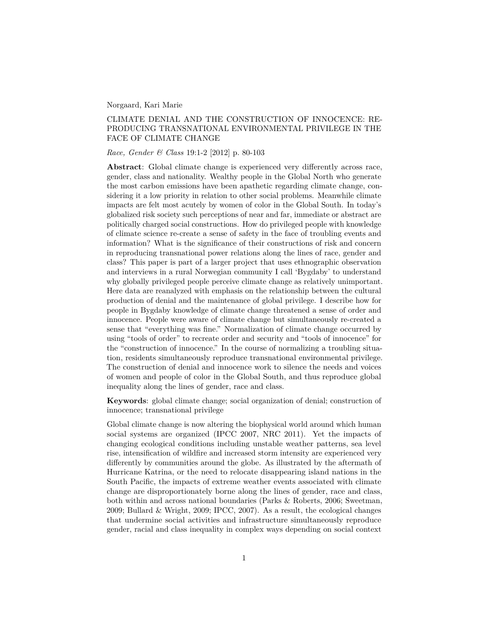Norgaard, Kari Marie

## CLIMATE DENIAL AND THE CONSTRUCTION OF INNOCENCE: RE-PRODUCING TRANSNATIONAL ENVIRONMENTAL PRIVILEGE IN THE FACE OF CLIMATE CHANGE

*Race, Gender & Class* 19:1-2 [2012] p. 80-103

**Abstract**: Global climate change is experienced very differently across race, gender, class and nationality. Wealthy people in the Global North who generate the most carbon emissions have been apathetic regarding climate change, considering it a low priority in relation to other social problems. Meanwhile climate impacts are felt most acutely by women of color in the Global South. In today's globalized risk society such perceptions of near and far, immediate or abstract are politically charged social constructions. How do privileged people with knowledge of climate science re-create a sense of safety in the face of troubling events and information? What is the significance of their constructions of risk and concern in reproducing transnational power relations along the lines of race, gender and class? This paper is part of a larger project that uses ethnographic observation and interviews in a rural Norwegian community I call 'Bygdaby' to understand why globally privileged people perceive climate change as relatively unimportant. Here data are reanalyzed with emphasis on the relationship between the cultural production of denial and the maintenance of global privilege. I describe how for people in Bygdaby knowledge of climate change threatened a sense of order and innocence. People were aware of climate change but simultaneously re-created a sense that "everything was fine." Normalization of climate change occurred by using "tools of order" to recreate order and security and "tools of innocence" for the "construction of innocence." In the course of normalizing a troubling situation, residents simultaneously reproduce transnational environmental privilege. The construction of denial and innocence work to silence the needs and voices of women and people of color in the Global South, and thus reproduce global inequality along the lines of gender, race and class.

**Keywords**: global climate change; social organization of denial; construction of innocence; transnational privilege

Global climate change is now altering the biophysical world around which human social systems are organized (IPCC 2007, NRC 2011). Yet the impacts of changing ecological conditions including unstable weather patterns, sea level rise, intensification of wildfire and increased storm intensity are experienced very differently by communities around the globe. As illustrated by the aftermath of Hurricane Katrina, or the need to relocate disappearing island nations in the South Pacific, the impacts of extreme weather events associated with climate change are disproportionately borne along the lines of gender, race and class, both within and across national boundaries (Parks & Roberts, 2006; Sweetman, 2009; Bullard & Wright, 2009; IPCC, 2007). As a result, the ecological changes that undermine social activities and infrastructure simultaneously reproduce gender, racial and class inequality in complex ways depending on social context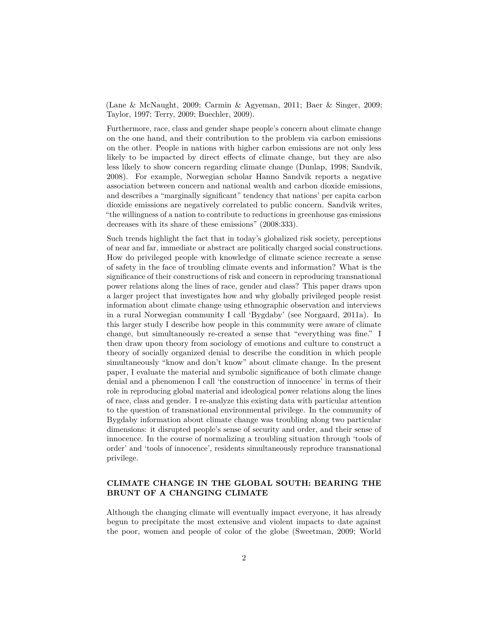(Lane & McNaught, 2009; Carmin & Agyeman, 2011; Baer & Singer, 2009; Taylor, 1997; Terry, 2009; Buechler, 2009).

Furthermore, race, class and gender shape people's concern about climate change on the one hand, and their contribution to the problem via carbon emissions on the other. People in nations with higher carbon emissions are not only less likely to be impacted by direct effects of climate change, but they are also less likely to show concern regarding climate change (Dunlap, 1998; Sandvik, 2008). For example, Norwegian scholar Hanno Sandvik reports a negative association between concern and national wealth and carbon dioxide emissions, and describes a "marginally significant" tendency that nations' per capita carbon dioxide emissions are negatively correlated to public concern. Sandvik writes, "the willingness of a nation to contribute to reductions in greenhouse gas emissions decreases with its share of these emissions" (2008:333).

Such trends highlight the fact that in today's globalized risk society, perceptions of near and far, immediate or abstract are politically charged social constructions. How do privileged people with knowledge of climate science recreate a sense of safety in the face of troubling climate events and information? What is the significance of their constructions of risk and concern in reproducing transnational power relations along the lines of race, gender and class? This paper draws upon a larger project that investigates how and why globally privileged people resist information about climate change using ethnographic observation and interviews in a rural Norwegian community I call 'Bygdaby' (see Norgaard, 2011a). In this larger study I describe how people in this community were aware of climate change, but simultaneously re-created a sense that "everything was fine." I then draw upon theory from sociology of emotions and culture to construct a theory of socially organized denial to describe the condition in which people simultaneously "know and don't know" about climate change. In the present paper, I evaluate the material and symbolic significance of both climate change denial and a phenomenon I call 'the construction of innocence' in terms of their role in reproducing global material and ideological power relations along the lines of race, class and gender. I re-analyze this existing data with particular attention to the question of transnational environmental privilege. In the community of Bygdaby information about climate change was troubling along two particular dimensions: it disrupted people's sense of security and order, and their sense of innocence. In the course of normalizing a troubling situation through 'tools of order' and 'tools of innocence', residents simultaneously reproduce transnational privilege.

# **CLIMATE CHANGE IN THE GLOBAL SOUTH: BEARING THE BRUNT OF A CHANGING CLIMATE**

Although the changing climate will eventually impact everyone, it has already begun to precipitate the most extensive and violent impacts to date against the poor, women and people of color of the globe (Sweetman, 2009; World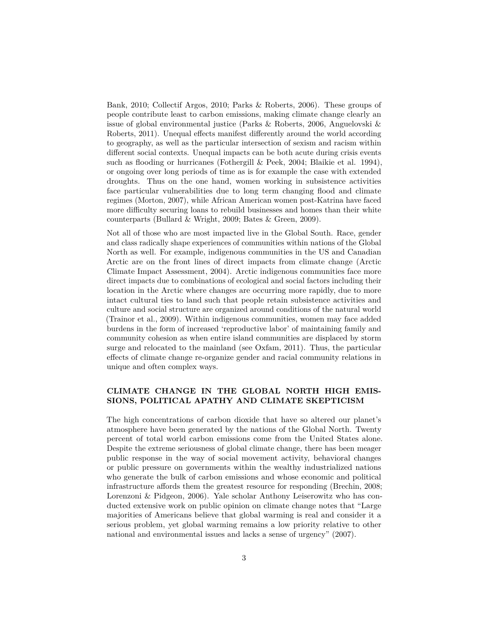Bank, 2010; Collectif Argos, 2010; Parks & Roberts, 2006). These groups of people contribute least to carbon emissions, making climate change clearly an issue of global environmental justice (Parks & Roberts, 2006, Anguelovski & Roberts, 2011). Unequal effects manifest differently around the world according to geography, as well as the particular intersection of sexism and racism within different social contexts. Unequal impacts can be both acute during crisis events such as flooding or hurricanes (Fothergill & Peek, 2004; Blaikie et al. 1994), or ongoing over long periods of time as is for example the case with extended droughts. Thus on the one hand, women working in subsistence activities face particular vulnerabilities due to long term changing flood and climate regimes (Morton, 2007), while African American women post-Katrina have faced more difficulty securing loans to rebuild businesses and homes than their white counterparts (Bullard & Wright, 2009; Bates & Green, 2009).

Not all of those who are most impacted live in the Global South. Race, gender and class radically shape experiences of communities within nations of the Global North as well. For example, indigenous communities in the US and Canadian Arctic are on the front lines of direct impacts from climate change (Arctic Climate Impact Assessment, 2004). Arctic indigenous communities face more direct impacts due to combinations of ecological and social factors including their location in the Arctic where changes are occurring more rapidly, due to more intact cultural ties to land such that people retain subsistence activities and culture and social structure are organized around conditions of the natural world (Trainor et al., 2009). Within indigenous communities, women may face added burdens in the form of increased 'reproductive labor' of maintaining family and community cohesion as when entire island communities are displaced by storm surge and relocated to the mainland (see Oxfam, 2011). Thus, the particular effects of climate change re-organize gender and racial community relations in unique and often complex ways.

# **CLIMATE CHANGE IN THE GLOBAL NORTH HIGH EMIS-SIONS, POLITICAL APATHY AND CLIMATE SKEPTICISM**

The high concentrations of carbon dioxide that have so altered our planet's atmosphere have been generated by the nations of the Global North. Twenty percent of total world carbon emissions come from the United States alone. Despite the extreme seriousness of global climate change, there has been meager public response in the way of social movement activity, behavioral changes or public pressure on governments within the wealthy industrialized nations who generate the bulk of carbon emissions and whose economic and political infrastructure affords them the greatest resource for responding (Brechin, 2008; Lorenzoni & Pidgeon, 2006). Yale scholar Anthony Leiserowitz who has conducted extensive work on public opinion on climate change notes that "Large majorities of Americans believe that global warming is real and consider it a serious problem, yet global warming remains a low priority relative to other national and environmental issues and lacks a sense of urgency" (2007).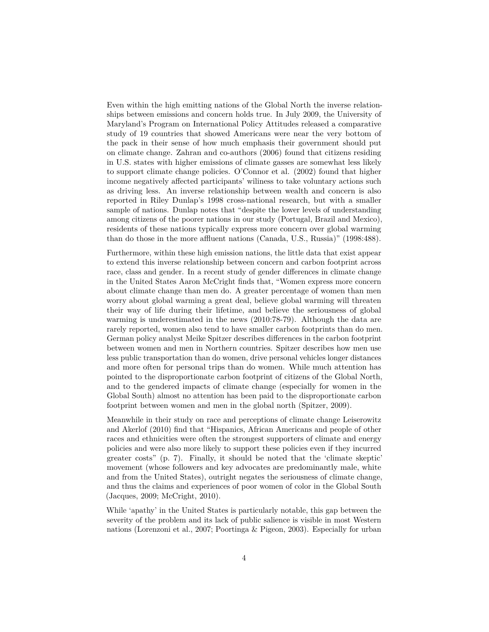Even within the high emitting nations of the Global North the inverse relationships between emissions and concern holds true. In July 2009, the University of Maryland's Program on International Policy Attitudes released a comparative study of 19 countries that showed Americans were near the very bottom of the pack in their sense of how much emphasis their government should put on climate change. Zahran and co-authors (2006) found that citizens residing in U.S. states with higher emissions of climate gasses are somewhat less likely to support climate change policies. O'Connor et al. (2002) found that higher income negatively affected participants' wiliness to take voluntary actions such as driving less. An inverse relationship between wealth and concern is also reported in Riley Dunlap's 1998 cross-national research, but with a smaller sample of nations. Dunlap notes that "despite the lower levels of understanding among citizens of the poorer nations in our study (Portugal, Brazil and Mexico), residents of these nations typically express more concern over global warming than do those in the more affluent nations (Canada, U.S., Russia)" (1998:488).

Furthermore, within these high emission nations, the little data that exist appear to extend this inverse relationship between concern and carbon footprint across race, class and gender. In a recent study of gender differences in climate change in the United States Aaron McCright finds that, "Women express more concern about climate change than men do. A greater percentage of women than men worry about global warming a great deal, believe global warming will threaten their way of life during their lifetime, and believe the seriousness of global warming is underestimated in the news (2010:78-79). Although the data are rarely reported, women also tend to have smaller carbon footprints than do men. German policy analyst Meike Spitzer describes differences in the carbon footprint between women and men in Northern countries. Spitzer describes how men use less public transportation than do women, drive personal vehicles longer distances and more often for personal trips than do women. While much attention has pointed to the disproportionate carbon footprint of citizens of the Global North, and to the gendered impacts of climate change (especially for women in the Global South) almost no attention has been paid to the disproportionate carbon footprint between women and men in the global north (Spitzer, 2009).

Meanwhile in their study on race and perceptions of climate change Leiserowitz and Akerlof (2010) find that "Hispanics, African Americans and people of other races and ethnicities were often the strongest supporters of climate and energy policies and were also more likely to support these policies even if they incurred greater costs" (p. 7). Finally, it should be noted that the 'climate skeptic' movement (whose followers and key advocates are predominantly male, white and from the United States), outright negates the seriousness of climate change, and thus the claims and experiences of poor women of color in the Global South (Jacques, 2009; McCright, 2010).

While 'apathy' in the United States is particularly notable, this gap between the severity of the problem and its lack of public salience is visible in most Western nations (Lorenzoni et al., 2007; Poortinga & Pigeon, 2003). Especially for urban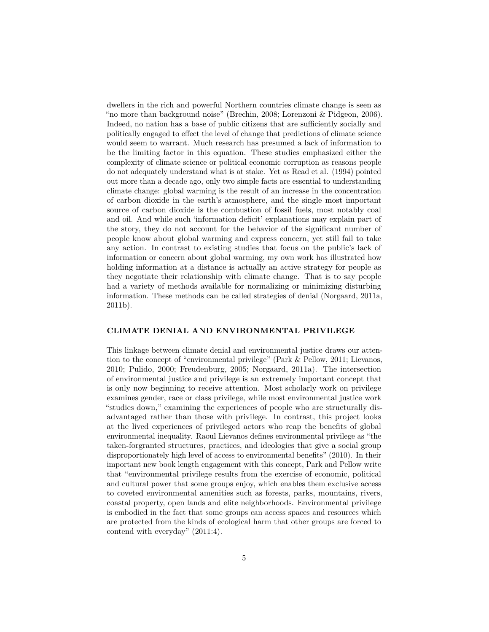dwellers in the rich and powerful Northern countries climate change is seen as "no more than background noise" (Brechin, 2008; Lorenzoni & Pidgeon, 2006). Indeed, no nation has a base of public citizens that are sufficiently socially and politically engaged to effect the level of change that predictions of climate science would seem to warrant. Much research has presumed a lack of information to be the limiting factor in this equation. These studies emphasized either the complexity of climate science or political economic corruption as reasons people do not adequately understand what is at stake. Yet as Read et al. (1994) pointed out more than a decade ago, only two simple facts are essential to understanding climate change: global warming is the result of an increase in the concentration of carbon dioxide in the earth's atmosphere, and the single most important source of carbon dioxide is the combustion of fossil fuels, most notably coal and oil. And while such 'information deficit' explanations may explain part of the story, they do not account for the behavior of the significant number of people know about global warming and express concern, yet still fail to take any action. In contrast to existing studies that focus on the public's lack of information or concern about global warming, my own work has illustrated how holding information at a distance is actually an active strategy for people as they negotiate their relationship with climate change. That is to say people had a variety of methods available for normalizing or minimizing disturbing information. These methods can be called strategies of denial (Norgaard, 2011a, 2011b).

#### **CLIMATE DENIAL AND ENVIRONMENTAL PRIVILEGE**

This linkage between climate denial and environmental justice draws our attention to the concept of "environmental privilege" (Park & Pellow, 2011; Lievanos, 2010; Pulido, 2000; Freudenburg, 2005; Norgaard, 2011a). The intersection of environmental justice and privilege is an extremely important concept that is only now beginning to receive attention. Most scholarly work on privilege examines gender, race or class privilege, while most environmental justice work "studies down," examining the experiences of people who are structurally disadvantaged rather than those with privilege. In contrast, this project looks at the lived experiences of privileged actors who reap the benefits of global environmental inequality. Raoul Lievanos defines environmental privilege as "the taken-forgranted structures, practices, and ideologies that give a social group disproportionately high level of access to environmental benefits" (2010). In their important new book length engagement with this concept, Park and Pellow write that "environmental privilege results from the exercise of economic, political and cultural power that some groups enjoy, which enables them exclusive access to coveted environmental amenities such as forests, parks, mountains, rivers, coastal property, open lands and elite neighborhoods. Environmental privilege is embodied in the fact that some groups can access spaces and resources which are protected from the kinds of ecological harm that other groups are forced to contend with everyday" (2011:4).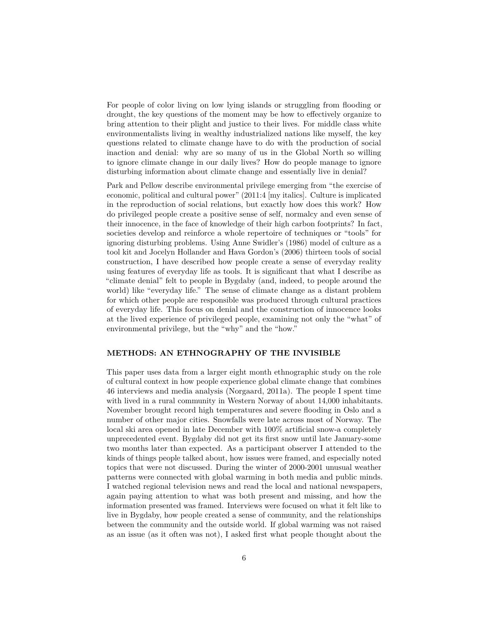For people of color living on low lying islands or struggling from flooding or drought, the key questions of the moment may be how to effectively organize to bring attention to their plight and justice to their lives. For middle class white environmentalists living in wealthy industrialized nations like myself, the key questions related to climate change have to do with the production of social inaction and denial: why are so many of us in the Global North so willing to ignore climate change in our daily lives? How do people manage to ignore disturbing information about climate change and essentially live in denial?

Park and Pellow describe environmental privilege emerging from "the exercise of economic, political and cultural power" (2011:4 [my italics]. Culture is implicated in the reproduction of social relations, but exactly how does this work? How do privileged people create a positive sense of self, normalcy and even sense of their innocence, in the face of knowledge of their high carbon footprints? In fact, societies develop and reinforce a whole repertoire of techniques or "tools" for ignoring disturbing problems. Using Anne Swidler's (1986) model of culture as a tool kit and Jocelyn Hollander and Hava Gordon's (2006) thirteen tools of social construction, I have described how people create a sense of everyday reality using features of everyday life as tools. It is significant that what I describe as "climate denial" felt to people in Bygdaby (and, indeed, to people around the world) like "everyday life." The sense of climate change as a distant problem for which other people are responsible was produced through cultural practices of everyday life. This focus on denial and the construction of innocence looks at the lived experience of privileged people, examining not only the "what" of environmental privilege, but the "why" and the "how."

### **METHODS: AN ETHNOGRAPHY OF THE INVISIBLE**

This paper uses data from a larger eight month ethnographic study on the role of cultural context in how people experience global climate change that combines 46 interviews and media analysis (Norgaard, 2011a). The people I spent time with lived in a rural community in Western Norway of about 14,000 inhabitants. November brought record high temperatures and severe flooding in Oslo and a number of other major cities. Snowfalls were late across most of Norway. The local ski area opened in late December with 100% artificial snow-a completely unprecedented event. Bygdaby did not get its first snow until late January-some two months later than expected. As a participant observer I attended to the kinds of things people talked about, how issues were framed, and especially noted topics that were not discussed. During the winter of 2000-2001 unusual weather patterns were connected with global warming in both media and public minds. I watched regional television news and read the local and national newspapers, again paying attention to what was both present and missing, and how the information presented was framed. Interviews were focused on what it felt like to live in Bygdaby, how people created a sense of community, and the relationships between the community and the outside world. If global warming was not raised as an issue (as it often was not), I asked first what people thought about the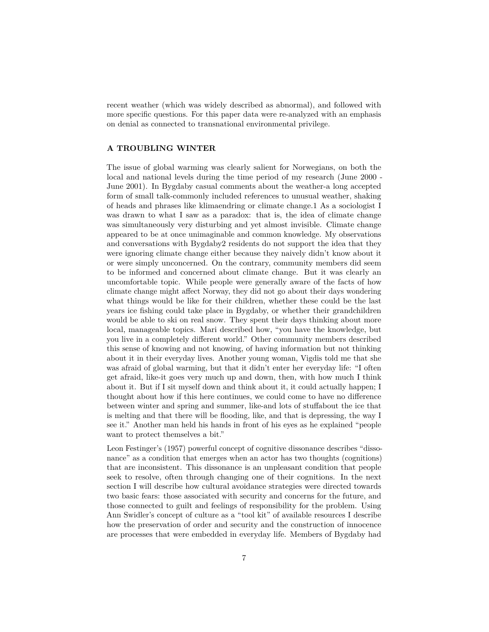recent weather (which was widely described as abnormal), and followed with more specific questions. For this paper data were re-analyzed with an emphasis on denial as connected to transnational environmental privilege.

#### **A TROUBLING WINTER**

The issue of global warming was clearly salient for Norwegians, on both the local and national levels during the time period of my research (June 2000 - June 2001). In Bygdaby casual comments about the weather-a long accepted form of small talk-commonly included references to unusual weather, shaking of heads and phrases like klimaendring or climate change.1 As a sociologist I was drawn to what I saw as a paradox: that is, the idea of climate change was simultaneously very disturbing and yet almost invisible. Climate change appeared to be at once unimaginable and common knowledge. My observations and conversations with Bygdaby2 residents do not support the idea that they were ignoring climate change either because they naively didn't know about it or were simply unconcerned. On the contrary, community members did seem to be informed and concerned about climate change. But it was clearly an uncomfortable topic. While people were generally aware of the facts of how climate change might affect Norway, they did not go about their days wondering what things would be like for their children, whether these could be the last years ice fishing could take place in Bygdaby, or whether their grandchildren would be able to ski on real snow. They spent their days thinking about more local, manageable topics. Mari described how, "you have the knowledge, but you live in a completely different world." Other community members described this sense of knowing and not knowing, of having information but not thinking about it in their everyday lives. Another young woman, Vigdis told me that she was afraid of global warming, but that it didn't enter her everyday life: "I often get afraid, like-it goes very much up and down, then, with how much I think about it. But if I sit myself down and think about it, it could actually happen; I thought about how if this here continues, we could come to have no difference between winter and spring and summer, like-and lots of stuffabout the ice that is melting and that there will be flooding, like, and that is depressing, the way I see it." Another man held his hands in front of his eyes as he explained "people want to protect themselves a bit."

Leon Festinger's (1957) powerful concept of cognitive dissonance describes "dissonance" as a condition that emerges when an actor has two thoughts (cognitions) that are inconsistent. This dissonance is an unpleasant condition that people seek to resolve, often through changing one of their cognitions. In the next section I will describe how cultural avoidance strategies were directed towards two basic fears: those associated with security and concerns for the future, and those connected to guilt and feelings of responsibility for the problem. Using Ann Swidler's concept of culture as a "tool kit" of available resources I describe how the preservation of order and security and the construction of innocence are processes that were embedded in everyday life. Members of Bygdaby had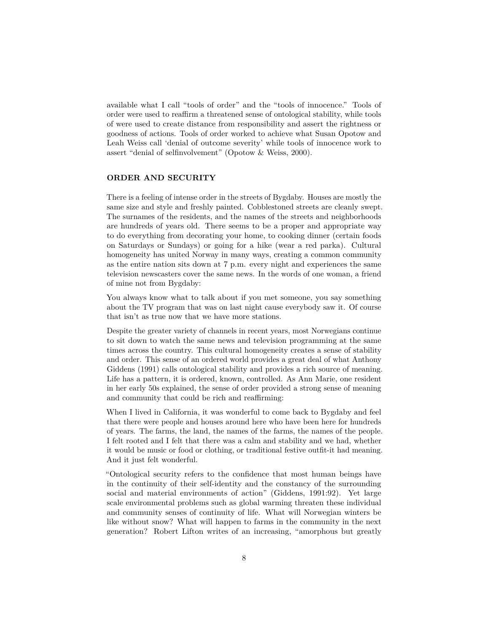available what I call "tools of order" and the "tools of innocence." Tools of order were used to reaffirm a threatened sense of ontological stability, while tools of were used to create distance from responsibility and assert the rightness or goodness of actions. Tools of order worked to achieve what Susan Opotow and Leah Weiss call 'denial of outcome severity' while tools of innocence work to assert "denial of selfinvolvement" (Opotow & Weiss, 2000).

### **ORDER AND SECURITY**

There is a feeling of intense order in the streets of Bygdaby. Houses are mostly the same size and style and freshly painted. Cobblestoned streets are cleanly swept. The surnames of the residents, and the names of the streets and neighborhoods are hundreds of years old. There seems to be a proper and appropriate way to do everything from decorating your home, to cooking dinner (certain foods on Saturdays or Sundays) or going for a hike (wear a red parka). Cultural homogeneity has united Norway in many ways, creating a common community as the entire nation sits down at 7 p.m. every night and experiences the same television newscasters cover the same news. In the words of one woman, a friend of mine not from Bygdaby:

You always know what to talk about if you met someone, you say something about the TV program that was on last night cause everybody saw it. Of course that isn't as true now that we have more stations.

Despite the greater variety of channels in recent years, most Norwegians continue to sit down to watch the same news and television programming at the same times across the country. This cultural homogeneity creates a sense of stability and order. This sense of an ordered world provides a great deal of what Anthony Giddens (1991) calls ontological stability and provides a rich source of meaning. Life has a pattern, it is ordered, known, controlled. As Ann Marie, one resident in her early 50s explained, the sense of order provided a strong sense of meaning and community that could be rich and reaffirming:

When I lived in California, it was wonderful to come back to Bygdaby and feel that there were people and houses around here who have been here for hundreds of years. The farms, the land, the names of the farms, the names of the people. I felt rooted and I felt that there was a calm and stability and we had, whether it would be music or food or clothing, or traditional festive outfit-it had meaning. And it just felt wonderful.

"Ontological security refers to the confidence that most human beings have in the continuity of their self-identity and the constancy of the surrounding social and material environments of action" (Giddens, 1991:92). Yet large scale environmental problems such as global warming threaten these individual and community senses of continuity of life. What will Norwegian winters be like without snow? What will happen to farms in the community in the next generation? Robert Lifton writes of an increasing, "amorphous but greatly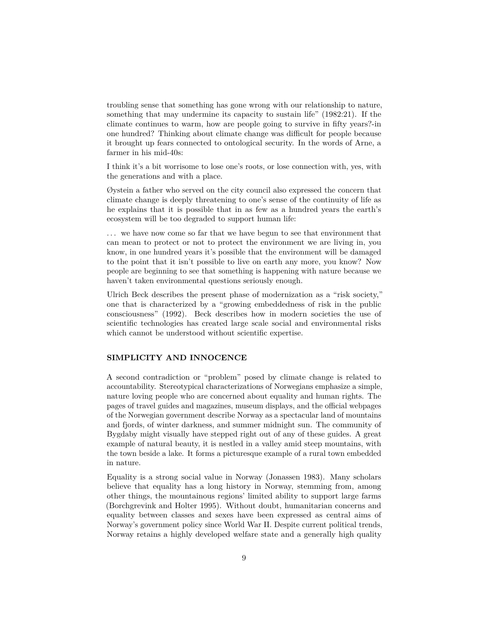troubling sense that something has gone wrong with our relationship to nature, something that may undermine its capacity to sustain life" (1982:21). If the climate continues to warm, how are people going to survive in fifty years?-in one hundred? Thinking about climate change was difficult for people because it brought up fears connected to ontological security. In the words of Arne, a farmer in his mid-40s:

I think it's a bit worrisome to lose one's roots, or lose connection with, yes, with the generations and with a place.

Øystein a father who served on the city council also expressed the concern that climate change is deeply threatening to one's sense of the continuity of life as he explains that it is possible that in as few as a hundred years the earth's ecosystem will be too degraded to support human life:

. . . we have now come so far that we have begun to see that environment that can mean to protect or not to protect the environment we are living in, you know, in one hundred years it's possible that the environment will be damaged to the point that it isn't possible to live on earth any more, you know? Now people are beginning to see that something is happening with nature because we haven't taken environmental questions seriously enough.

Ulrich Beck describes the present phase of modernization as a "risk society," one that is characterized by a "growing embeddedness of risk in the public consciousness" (1992). Beck describes how in modern societies the use of scientific technologies has created large scale social and environmental risks which cannot be understood without scientific expertise.

### **SIMPLICITY AND INNOCENCE**

A second contradiction or "problem" posed by climate change is related to accountability. Stereotypical characterizations of Norwegians emphasize a simple, nature loving people who are concerned about equality and human rights. The pages of travel guides and magazines, museum displays, and the official webpages of the Norwegian government describe Norway as a spectacular land of mountains and fjords, of winter darkness, and summer midnight sun. The community of Bygdaby might visually have stepped right out of any of these guides. A great example of natural beauty, it is nestled in a valley amid steep mountains, with the town beside a lake. It forms a picturesque example of a rural town embedded in nature.

Equality is a strong social value in Norway (Jonassen 1983). Many scholars believe that equality has a long history in Norway, stemming from, among other things, the mountainous regions' limited ability to support large farms (Borchgrevink and Holter 1995). Without doubt, humanitarian concerns and equality between classes and sexes have been expressed as central aims of Norway's government policy since World War II. Despite current political trends, Norway retains a highly developed welfare state and a generally high quality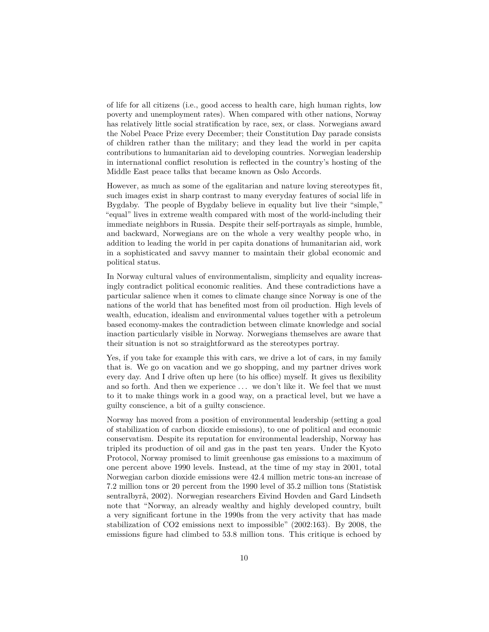of life for all citizens (i.e., good access to health care, high human rights, low poverty and unemployment rates). When compared with other nations, Norway has relatively little social stratification by race, sex, or class. Norwegians award the Nobel Peace Prize every December; their Constitution Day parade consists of children rather than the military; and they lead the world in per capita contributions to humanitarian aid to developing countries. Norwegian leadership in international conflict resolution is reflected in the country's hosting of the Middle East peace talks that became known as Oslo Accords.

However, as much as some of the egalitarian and nature loving stereotypes fit, such images exist in sharp contrast to many everyday features of social life in Bygdaby. The people of Bygdaby believe in equality but live their "simple," "equal" lives in extreme wealth compared with most of the world-including their immediate neighbors in Russia. Despite their self-portrayals as simple, humble, and backward, Norwegians are on the whole a very wealthy people who, in addition to leading the world in per capita donations of humanitarian aid, work in a sophisticated and savvy manner to maintain their global economic and political status.

In Norway cultural values of environmentalism, simplicity and equality increasingly contradict political economic realities. And these contradictions have a particular salience when it comes to climate change since Norway is one of the nations of the world that has benefited most from oil production. High levels of wealth, education, idealism and environmental values together with a petroleum based economy-makes the contradiction between climate knowledge and social inaction particularly visible in Norway. Norwegians themselves are aware that their situation is not so straightforward as the stereotypes portray.

Yes, if you take for example this with cars, we drive a lot of cars, in my family that is. We go on vacation and we go shopping, and my partner drives work every day. And I drive often up here (to his office) myself. It gives us flexibility and so forth. And then we experience ... we don't like it. We feel that we must to it to make things work in a good way, on a practical level, but we have a guilty conscience, a bit of a guilty conscience.

Norway has moved from a position of environmental leadership (setting a goal of stabilization of carbon dioxide emissions), to one of political and economic conservatism. Despite its reputation for environmental leadership, Norway has tripled its production of oil and gas in the past ten years. Under the Kyoto Protocol, Norway promised to limit greenhouse gas emissions to a maximum of one percent above 1990 levels. Instead, at the time of my stay in 2001, total Norwegian carbon dioxide emissions were 42.4 million metric tons-an increase of 7.2 million tons or 20 percent from the 1990 level of 35.2 million tons (Statistisk sentralbyrå, 2002). Norwegian researchers Eivind Hovden and Gard Lindseth note that "Norway, an already wealthy and highly developed country, built a very significant fortune in the 1990s from the very activity that has made stabilization of CO2 emissions next to impossible" (2002:163). By 2008, the emissions figure had climbed to 53.8 million tons. This critique is echoed by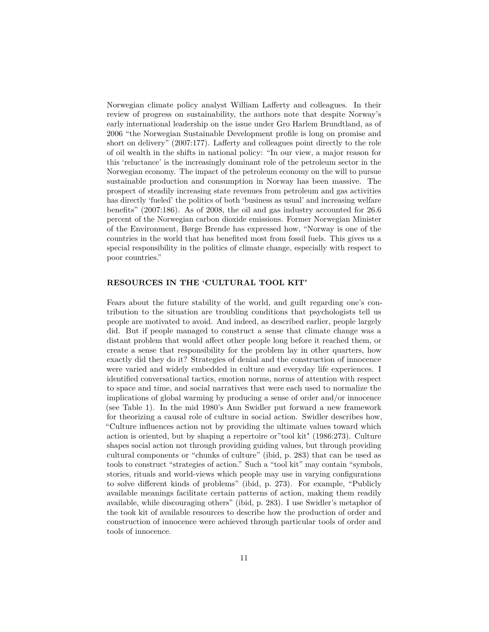Norwegian climate policy analyst William Lafferty and colleagues. In their review of progress on sustainability, the authors note that despite Norway's early international leadership on the issue under Gro Harlem Brundtland, as of 2006 "the Norwegian Sustainable Development profile is long on promise and short on delivery" (2007:177). Lafferty and colleagues point directly to the role of oil wealth in the shifts in national policy: "In our view, a major reason for this 'reluctance' is the increasingly dominant role of the petroleum sector in the Norwegian economy. The impact of the petroleum economy on the will to pursue sustainable production and consumption in Norway has been massive. The prospect of steadily increasing state revenues from petroleum and gas activities has directly 'fueled' the politics of both 'business as usual' and increasing welfare benefits" (2007:186). As of 2008, the oil and gas industry accounted for 26.6 percent of the Norwegian carbon dioxide emissions. Former Norwegian Minister of the Environment, Børge Brende has expressed how, "Norway is one of the countries in the world that has benefited most from fossil fuels. This gives us a special responsibility in the politics of climate change, especially with respect to poor countries."

#### **RESOURCES IN THE 'CULTURAL TOOL KIT'**

Fears about the future stability of the world, and guilt regarding one's contribution to the situation are troubling conditions that psychologists tell us people are motivated to avoid. And indeed, as described earlier, people largely did. But if people managed to construct a sense that climate change was a distant problem that would affect other people long before it reached them, or create a sense that responsibility for the problem lay in other quarters, how exactly did they do it? Strategies of denial and the construction of innocence were varied and widely embedded in culture and everyday life experiences. I identified conversational tactics, emotion norms, norms of attention with respect to space and time, and social narratives that were each used to normalize the implications of global warming by producing a sense of order and/or innocence (see Table 1). In the mid 1980's Ann Swidler put forward a new framework for theorizing a causal role of culture in social action. Swidler describes how, "Culture influences action not by providing the ultimate values toward which action is oriented, but by shaping a repertoire or"tool kit" (1986:273). Culture shapes social action not through providing guiding values, but through providing cultural components or "chunks of culture" (ibid, p. 283) that can be used as tools to construct "strategies of action." Such a "tool kit" may contain "symbols, stories, rituals and world-views which people may use in varying configurations to solve different kinds of problems" (ibid, p. 273). For example, "Publicly available meanings facilitate certain patterns of action, making them readily available, while discouraging others" (ibid, p. 283). I use Swidler's metaphor of the took kit of available resources to describe how the production of order and construction of innocence were achieved through particular tools of order and tools of innocence.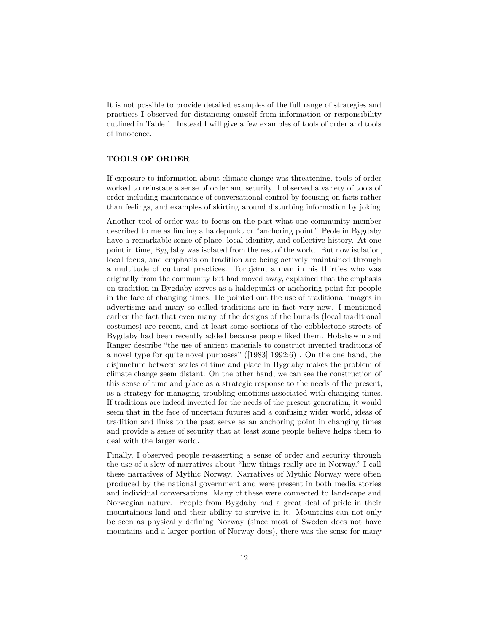It is not possible to provide detailed examples of the full range of strategies and practices I observed for distancing oneself from information or responsibility outlined in Table 1. Instead I will give a few examples of tools of order and tools of innocence.

## **TOOLS OF ORDER**

If exposure to information about climate change was threatening, tools of order worked to reinstate a sense of order and security. I observed a variety of tools of order including maintenance of conversational control by focusing on facts rather than feelings, and examples of skirting around disturbing information by joking.

Another tool of order was to focus on the past-what one community member described to me as finding a haldepunkt or "anchoring point." Peole in Bygdaby have a remarkable sense of place, local identity, and collective history. At one point in time, Bygdaby was isolated from the rest of the world. But now isolation, local focus, and emphasis on tradition are being actively maintained through a multitude of cultural practices. Torbjørn, a man in his thirties who was originally from the community but had moved away, explained that the emphasis on tradition in Bygdaby serves as a haldepunkt or anchoring point for people in the face of changing times. He pointed out the use of traditional images in advertising and many so-called traditions are in fact very new. I mentioned earlier the fact that even many of the designs of the bunads (local traditional costumes) are recent, and at least some sections of the cobblestone streets of Bygdaby had been recently added because people liked them. Hobsbawm and Ranger describe "the use of ancient materials to construct invented traditions of a novel type for quite novel purposes" ([1983] 1992:6) . On the one hand, the disjuncture between scales of time and place in Bygdaby makes the problem of climate change seem distant. On the other hand, we can see the construction of this sense of time and place as a strategic response to the needs of the present, as a strategy for managing troubling emotions associated with changing times. If traditions are indeed invented for the needs of the present generation, it would seem that in the face of uncertain futures and a confusing wider world, ideas of tradition and links to the past serve as an anchoring point in changing times and provide a sense of security that at least some people believe helps them to deal with the larger world.

Finally, I observed people re-asserting a sense of order and security through the use of a slew of narratives about "how things really are in Norway." I call these narratives of Mythic Norway. Narratives of Mythic Norway were often produced by the national government and were present in both media stories and individual conversations. Many of these were connected to landscape and Norwegian nature. People from Bygdaby had a great deal of pride in their mountainous land and their ability to survive in it. Mountains can not only be seen as physically defining Norway (since most of Sweden does not have mountains and a larger portion of Norway does), there was the sense for many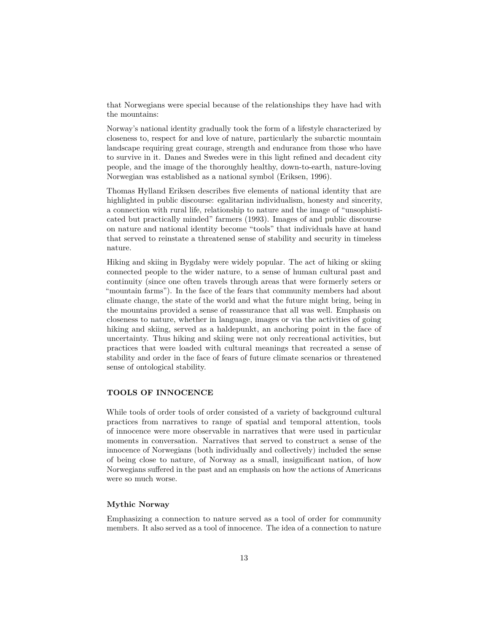that Norwegians were special because of the relationships they have had with the mountains:

Norway's national identity gradually took the form of a lifestyle characterized by closeness to, respect for and love of nature, particularly the subarctic mountain landscape requiring great courage, strength and endurance from those who have to survive in it. Danes and Swedes were in this light refined and decadent city people, and the image of the thoroughly healthy, down-to-earth, nature-loving Norwegian was established as a national symbol (Eriksen, 1996).

Thomas Hylland Eriksen describes five elements of national identity that are highlighted in public discourse: egalitarian individualism, honesty and sincerity, a connection with rural life, relationship to nature and the image of "unsophisticated but practically minded" farmers (1993). Images of and public discourse on nature and national identity become "tools" that individuals have at hand that served to reinstate a threatened sense of stability and security in timeless nature.

Hiking and skiing in Bygdaby were widely popular. The act of hiking or skiing connected people to the wider nature, to a sense of human cultural past and continuity (since one often travels through areas that were formerly seters or "mountain farms"). In the face of the fears that community members had about climate change, the state of the world and what the future might bring, being in the mountains provided a sense of reassurance that all was well. Emphasis on closeness to nature, whether in language, images or via the activities of going hiking and skiing, served as a haldepunkt, an anchoring point in the face of uncertainty. Thus hiking and skiing were not only recreational activities, but practices that were loaded with cultural meanings that recreated a sense of stability and order in the face of fears of future climate scenarios or threatened sense of ontological stability.

### **TOOLS OF INNOCENCE**

While tools of order tools of order consisted of a variety of background cultural practices from narratives to range of spatial and temporal attention, tools of innocence were more observable in narratives that were used in particular moments in conversation. Narratives that served to construct a sense of the innocence of Norwegians (both individually and collectively) included the sense of being close to nature, of Norway as a small, insignificant nation, of how Norwegians suffered in the past and an emphasis on how the actions of Americans were so much worse.

### **Mythic Norway**

Emphasizing a connection to nature served as a tool of order for community members. It also served as a tool of innocence. The idea of a connection to nature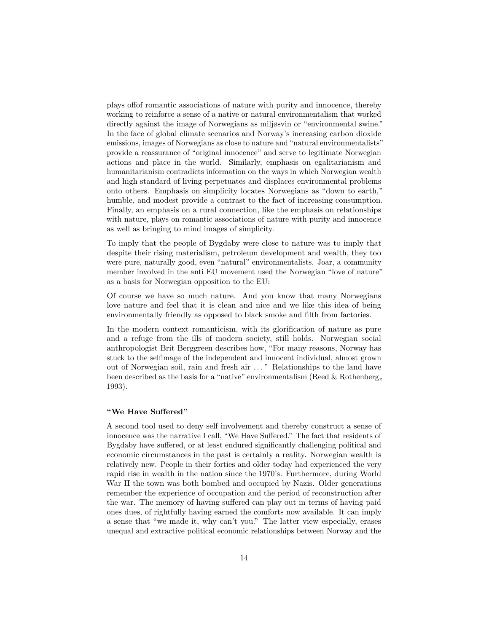plays offof romantic associations of nature with purity and innocence, thereby working to reinforce a sense of a native or natural environmentalism that worked directly against the image of Norwegians as miljøsvin or "environmental swine." In the face of global climate scenarios and Norway's increasing carbon dioxide emissions, images of Norwegians as close to nature and "natural environmentalists" provide a reassurance of "original innocence" and serve to legitimate Norwegian actions and place in the world. Similarly, emphasis on egalitarianism and humanitarianism contradicts information on the ways in which Norwegian wealth and high standard of living perpetuates and displaces environmental problems onto others. Emphasis on simplicity locates Norwegians as "down to earth," humble, and modest provide a contrast to the fact of increasing consumption. Finally, an emphasis on a rural connection, like the emphasis on relationships with nature, plays on romantic associations of nature with purity and innocence as well as bringing to mind images of simplicity.

To imply that the people of Bygdaby were close to nature was to imply that despite their rising materialism, petroleum development and wealth, they too were pure, naturally good, even "natural" environmentalists. Joar, a community member involved in the anti EU movement used the Norwegian "love of nature" as a basis for Norwegian opposition to the EU:

Of course we have so much nature. And you know that many Norwegians love nature and feel that it is clean and nice and we like this idea of being environmentally friendly as opposed to black smoke and filth from factories.

In the modern context romanticism, with its glorification of nature as pure and a refuge from the ills of modern society, still holds. Norwegian social anthropologist Brit Berggreen describes how, "For many reasons, Norway has stuck to the selfimage of the independent and innocent individual, almost grown out of Norwegian soil, rain and fresh air . . . " Relationships to the land have been described as the basis for a "native" environmentalism (Reed  $&$  Rothenberg, 1993).

#### **"We Have Suffered"**

A second tool used to deny self involvement and thereby construct a sense of innocence was the narrative I call, "We Have Suffered." The fact that residents of Bygdaby have suffered, or at least endured significantly challenging political and economic circumstances in the past is certainly a reality. Norwegian wealth is relatively new. People in their forties and older today had experienced the very rapid rise in wealth in the nation since the 1970's. Furthermore, during World War II the town was both bombed and occupied by Nazis. Older generations remember the experience of occupation and the period of reconstruction after the war. The memory of having suffered can play out in terms of having paid ones dues, of rightfully having earned the comforts now available. It can imply a sense that "we made it, why can't you." The latter view especially, erases unequal and extractive political economic relationships between Norway and the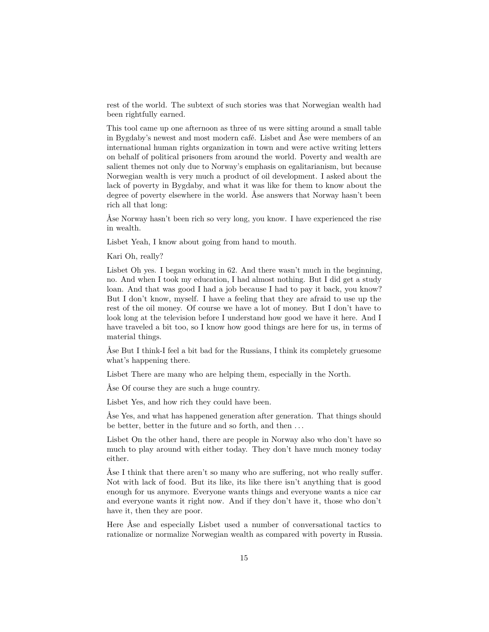rest of the world. The subtext of such stories was that Norwegian wealth had been rightfully earned.

This tool came up one afternoon as three of us were sitting around a small table in Bygdaby's newest and most modern café. Lisbet and Åse were members of an international human rights organization in town and were active writing letters on behalf of political prisoners from around the world. Poverty and wealth are salient themes not only due to Norway's emphasis on egalitarianism, but because Norwegian wealth is very much a product of oil development. I asked about the lack of poverty in Bygdaby, and what it was like for them to know about the degree of poverty elsewhere in the world. Åse answers that Norway hasn't been rich all that long:

Åse Norway hasn't been rich so very long, you know. I have experienced the rise in wealth.

Lisbet Yeah, I know about going from hand to mouth.

Kari Oh, really?

Lisbet Oh yes. I began working in 62. And there wasn't much in the beginning, no. And when I took my education, I had almost nothing. But I did get a study loan. And that was good I had a job because I had to pay it back, you know? But I don't know, myself. I have a feeling that they are afraid to use up the rest of the oil money. Of course we have a lot of money. But I don't have to look long at the television before I understand how good we have it here. And I have traveled a bit too, so I know how good things are here for us, in terms of material things.

Åse But I think-I feel a bit bad for the Russians, I think its completely gruesome what's happening there.

Lisbet There are many who are helping them, especially in the North.

Åse Of course they are such a huge country.

Lisbet Yes, and how rich they could have been.

Åse Yes, and what has happened generation after generation. That things should be better, better in the future and so forth, and then . . .

Lisbet On the other hand, there are people in Norway also who don't have so much to play around with either today. They don't have much money today either.

Åse I think that there aren't so many who are suffering, not who really suffer. Not with lack of food. But its like, its like there isn't anything that is good enough for us anymore. Everyone wants things and everyone wants a nice car and everyone wants it right now. And if they don't have it, those who don't have it, then they are poor.

Here Åse and especially Lisbet used a number of conversational tactics to rationalize or normalize Norwegian wealth as compared with poverty in Russia.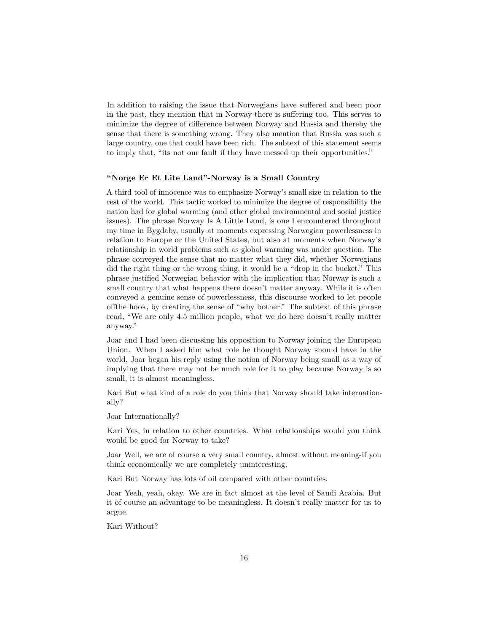In addition to raising the issue that Norwegians have suffered and been poor in the past, they mention that in Norway there is suffering too. This serves to minimize the degree of difference between Norway and Russia and thereby the sense that there is something wrong. They also mention that Russia was such a large country, one that could have been rich. The subtext of this statement seems to imply that, "its not our fault if they have messed up their opportunities."

#### **"Norge Er Et Lite Land"-Norway is a Small Country**

A third tool of innocence was to emphasize Norway's small size in relation to the rest of the world. This tactic worked to minimize the degree of responsibility the nation had for global warming (and other global environmental and social justice issues). The phrase Norway Is A Little Land, is one I encountered throughout my time in Bygdaby, usually at moments expressing Norwegian powerlessness in relation to Europe or the United States, but also at moments when Norway's relationship in world problems such as global warming was under question. The phrase conveyed the sense that no matter what they did, whether Norwegians did the right thing or the wrong thing, it would be a "drop in the bucket." This phrase justified Norwegian behavior with the implication that Norway is such a small country that what happens there doesn't matter anyway. While it is often conveyed a genuine sense of powerlessness, this discourse worked to let people offthe hook, by creating the sense of "why bother." The subtext of this phrase read, "We are only 4.5 million people, what we do here doesn't really matter anyway."

Joar and I had been discussing his opposition to Norway joining the European Union. When I asked him what role he thought Norway should have in the world, Joar began his reply using the notion of Norway being small as a way of implying that there may not be much role for it to play because Norway is so small, it is almost meaningless.

Kari But what kind of a role do you think that Norway should take internationally?

Joar Internationally?

Kari Yes, in relation to other countries. What relationships would you think would be good for Norway to take?

Joar Well, we are of course a very small country, almost without meaning-if you think economically we are completely uninteresting.

Kari But Norway has lots of oil compared with other countries.

Joar Yeah, yeah, okay. We are in fact almost at the level of Saudi Arabia. But it of course an advantage to be meaningless. It doesn't really matter for us to argue.

Kari Without?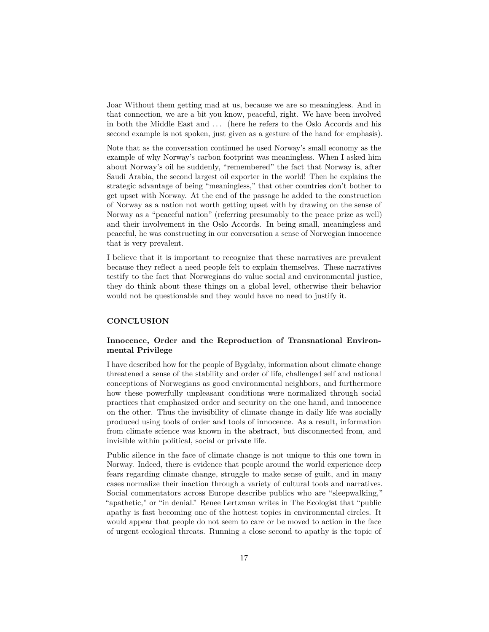Joar Without them getting mad at us, because we are so meaningless. And in that connection, we are a bit you know, peaceful, right. We have been involved in both the Middle East and . . . (here he refers to the Oslo Accords and his second example is not spoken, just given as a gesture of the hand for emphasis).

Note that as the conversation continued he used Norway's small economy as the example of why Norway's carbon footprint was meaningless. When I asked him about Norway's oil he suddenly, "remembered" the fact that Norway is, after Saudi Arabia, the second largest oil exporter in the world! Then he explains the strategic advantage of being "meaningless," that other countries don't bother to get upset with Norway. At the end of the passage he added to the construction of Norway as a nation not worth getting upset with by drawing on the sense of Norway as a "peaceful nation" (referring presumably to the peace prize as well) and their involvement in the Oslo Accords. In being small, meaningless and peaceful, he was constructing in our conversation a sense of Norwegian innocence that is very prevalent.

I believe that it is important to recognize that these narratives are prevalent because they reflect a need people felt to explain themselves. These narratives testify to the fact that Norwegians do value social and environmental justice, they do think about these things on a global level, otherwise their behavior would not be questionable and they would have no need to justify it.

# **CONCLUSION**

### **Innocence, Order and the Reproduction of Transnational Environmental Privilege**

I have described how for the people of Bygdaby, information about climate change threatened a sense of the stability and order of life, challenged self and national conceptions of Norwegians as good environmental neighbors, and furthermore how these powerfully unpleasant conditions were normalized through social practices that emphasized order and security on the one hand, and innocence on the other. Thus the invisibility of climate change in daily life was socially produced using tools of order and tools of innocence. As a result, information from climate science was known in the abstract, but disconnected from, and invisible within political, social or private life.

Public silence in the face of climate change is not unique to this one town in Norway. Indeed, there is evidence that people around the world experience deep fears regarding climate change, struggle to make sense of guilt, and in many cases normalize their inaction through a variety of cultural tools and narratives. Social commentators across Europe describe publics who are "sleepwalking," "apathetic," or "in denial." Renee Lertzman writes in The Ecologist that "public apathy is fast becoming one of the hottest topics in environmental circles. It would appear that people do not seem to care or be moved to action in the face of urgent ecological threats. Running a close second to apathy is the topic of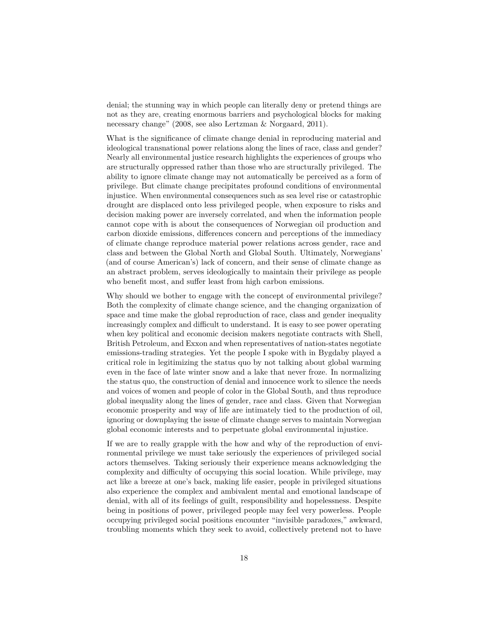denial; the stunning way in which people can literally deny or pretend things are not as they are, creating enormous barriers and psychological blocks for making necessary change" (2008, see also Lertzman & Norgaard, 2011).

What is the significance of climate change denial in reproducing material and ideological transnational power relations along the lines of race, class and gender? Nearly all environmental justice research highlights the experiences of groups who are structurally oppressed rather than those who are structurally privileged. The ability to ignore climate change may not automatically be perceived as a form of privilege. But climate change precipitates profound conditions of environmental injustice. When environmental consequences such as sea level rise or catastrophic drought are displaced onto less privileged people, when exposure to risks and decision making power are inversely correlated, and when the information people cannot cope with is about the consequences of Norwegian oil production and carbon dioxide emissions, differences concern and perceptions of the immediacy of climate change reproduce material power relations across gender, race and class and between the Global North and Global South. Ultimately, Norwegians' (and of course American's) lack of concern, and their sense of climate change as an abstract problem, serves ideologically to maintain their privilege as people who benefit most, and suffer least from high carbon emissions.

Why should we bother to engage with the concept of environmental privilege? Both the complexity of climate change science, and the changing organization of space and time make the global reproduction of race, class and gender inequality increasingly complex and difficult to understand. It is easy to see power operating when key political and economic decision makers negotiate contracts with Shell, British Petroleum, and Exxon and when representatives of nation-states negotiate emissions-trading strategies. Yet the people I spoke with in Bygdaby played a critical role in legitimizing the status quo by not talking about global warming even in the face of late winter snow and a lake that never froze. In normalizing the status quo, the construction of denial and innocence work to silence the needs and voices of women and people of color in the Global South, and thus reproduce global inequality along the lines of gender, race and class. Given that Norwegian economic prosperity and way of life are intimately tied to the production of oil, ignoring or downplaying the issue of climate change serves to maintain Norwegian global economic interests and to perpetuate global environmental injustice.

If we are to really grapple with the how and why of the reproduction of environmental privilege we must take seriously the experiences of privileged social actors themselves. Taking seriously their experience means acknowledging the complexity and difficulty of occupying this social location. While privilege, may act like a breeze at one's back, making life easier, people in privileged situations also experience the complex and ambivalent mental and emotional landscape of denial, with all of its feelings of guilt, responsibility and hopelessness. Despite being in positions of power, privileged people may feel very powerless. People occupying privileged social positions encounter "invisible paradoxes," awkward, troubling moments which they seek to avoid, collectively pretend not to have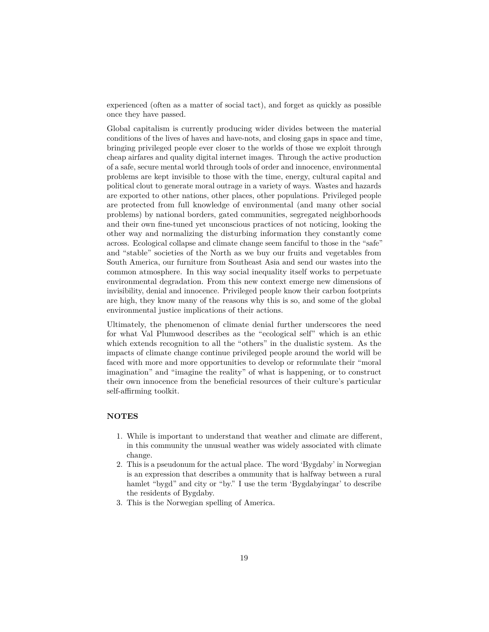experienced (often as a matter of social tact), and forget as quickly as possible once they have passed.

Global capitalism is currently producing wider divides between the material conditions of the lives of haves and have-nots, and closing gaps in space and time, bringing privileged people ever closer to the worlds of those we exploit through cheap airfares and quality digital internet images. Through the active production of a safe, secure mental world through tools of order and innocence, environmental problems are kept invisible to those with the time, energy, cultural capital and political clout to generate moral outrage in a variety of ways. Wastes and hazards are exported to other nations, other places, other populations. Privileged people are protected from full knowledge of environmental (and many other social problems) by national borders, gated communities, segregated neighborhoods and their own fine-tuned yet unconscious practices of not noticing, looking the other way and normalizing the disturbing information they constantly come across. Ecological collapse and climate change seem fanciful to those in the "safe" and "stable" societies of the North as we buy our fruits and vegetables from South America, our furniture from Southeast Asia and send our wastes into the common atmosphere. In this way social inequality itself works to perpetuate environmental degradation. From this new context emerge new dimensions of invisibility, denial and innocence. Privileged people know their carbon footprints are high, they know many of the reasons why this is so, and some of the global environmental justice implications of their actions.

Ultimately, the phenomenon of climate denial further underscores the need for what Val Plumwood describes as the "ecological self" which is an ethic which extends recognition to all the "others" in the dualistic system. As the impacts of climate change continue privileged people around the world will be faced with more and more opportunities to develop or reformulate their "moral imagination" and "imagine the reality" of what is happening, or to construct their own innocence from the beneficial resources of their culture's particular self-affirming toolkit.

### **NOTES**

- 1. While is important to understand that weather and climate are different, in this community the unusual weather was widely associated with climate change.
- 2. This is a pseudonum for the actual place. The word 'Bygdaby' in Norwegian is an expression that describes a ommunity that is halfway between a rural hamlet "bygd" and city or "by." I use the term 'Bygdabyingar' to describe the residents of Bygdaby.
- 3. This is the Norwegian spelling of America.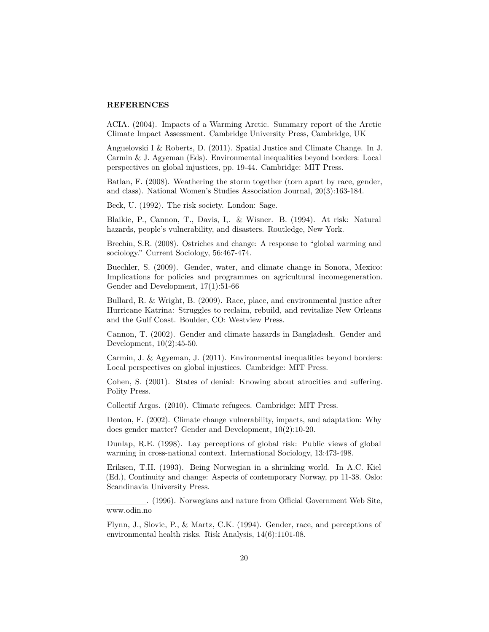### **REFERENCES**

ACIA. (2004). Impacts of a Warming Arctic. Summary report of the Arctic Climate Impact Assessment. Cambridge University Press, Cambridge, UK

Anguelovski I & Roberts, D. (2011). Spatial Justice and Climate Change. In J. Carmin & J. Agyeman (Eds). Environmental inequalities beyond borders: Local perspectives on global injustices, pp. 19-44. Cambridge: MIT Press.

Batlan, F. (2008). Weathering the storm together (torn apart by race, gender, and class). National Women's Studies Association Journal, 20(3):163-184.

Beck, U. (1992). The risk society. London: Sage.

Blaikie, P., Cannon, T., Davis, I,. & Wisner. B. (1994). At risk: Natural hazards, people's vulnerability, and disasters. Routledge, New York.

Brechin, S.R. (2008). Ostriches and change: A response to "global warming and sociology." Current Sociology, 56:467-474.

Buechler, S. (2009). Gender, water, and climate change in Sonora, Mexico: Implications for policies and programmes on agricultural incomegeneration. Gender and Development, 17(1):51-66

Bullard, R. & Wright, B. (2009). Race, place, and environmental justice after Hurricane Katrina: Struggles to reclaim, rebuild, and revitalize New Orleans and the Gulf Coast. Boulder, CO: Westview Press.

Cannon, T. (2002). Gender and climate hazards in Bangladesh. Gender and Development, 10(2):45-50.

Carmin, J. & Agyeman, J. (2011). Environmental inequalities beyond borders: Local perspectives on global injustices. Cambridge: MIT Press.

Cohen, S. (2001). States of denial: Knowing about atrocities and suffering. Polity Press.

Collectif Argos. (2010). Climate refugees. Cambridge: MIT Press.

Denton, F. (2002). Climate change vulnerability, impacts, and adaptation: Why does gender matter? Gender and Development, 10(2):10-20.

Dunlap, R.E. (1998). Lay perceptions of global risk: Public views of global warming in cross-national context. International Sociology, 13:473-498.

Eriksen, T.H. (1993). Being Norwegian in a shrinking world. In A.C. Kiel (Ed.), Continuity and change: Aspects of contemporary Norway, pp 11-38. Oslo: Scandinavia University Press.

\_\_\_\_\_\_\_. (1996). Norwegians and nature from Official Government Web Site, www.odin.no

Flynn, J., Slovic, P., & Martz, C.K. (1994). Gender, race, and perceptions of environmental health risks. Risk Analysis, 14(6):1101-08.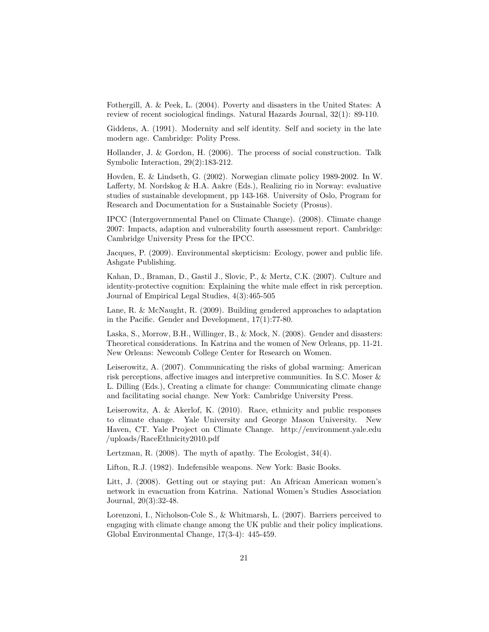Fothergill, A. & Peek, L. (2004). Poverty and disasters in the United States: A review of recent sociological findings. Natural Hazards Journal, 32(1): 89-110.

Giddens, A. (1991). Modernity and self identity. Self and society in the late modern age. Cambridge: Polity Press.

Hollander, J. & Gordon, H. (2006). The process of social construction. Talk Symbolic Interaction, 29(2):183-212.

Hovden, E. & Lindseth, G. (2002). Norwegian climate policy 1989-2002. In W. Lafferty, M. Nordskog & H.A. Aakre (Eds.), Realizing rio in Norway: evaluative studies of sustainable development, pp 143-168. University of Oslo, Program for Research and Documentation for a Sustainable Society (Prosus).

IPCC (Intergovernmental Panel on Climate Change). (2008). Climate change 2007: Impacts, adaption and vulnerability fourth assessment report. Cambridge: Cambridge University Press for the IPCC.

Jacques, P. (2009). Environmental skepticism: Ecology, power and public life. Ashgate Publishing.

Kahan, D., Braman, D., Gastil J., Slovic, P., & Mertz, C.K. (2007). Culture and identity-protective cognition: Explaining the white male effect in risk perception. Journal of Empirical Legal Studies, 4(3):465-505

Lane, R. & McNaught, R. (2009). Building gendered approaches to adaptation in the Pacific. Gender and Development, 17(1):77-80.

Laska, S., Morrow, B.H., Willinger, B., & Mock, N. (2008). Gender and disasters: Theoretical considerations. In Katrina and the women of New Orleans, pp. 11-21. New Orleans: Newcomb College Center for Research on Women.

Leiserowitz, A. (2007). Communicating the risks of global warming: American risk perceptions, affective images and interpretive communities. In S.C. Moser & L. Dilling (Eds.), Creating a climate for change: Communicating climate change and facilitating social change. New York: Cambridge University Press.

Leiserowitz, A. & Akerlof, K. (2010). Race, ethnicity and public responses to climate change. Yale University and George Mason University. New Haven, CT. Yale Project on Climate Change. http://environment.yale.edu /uploads/RaceEthnicity2010.pdf

Lertzman, R. (2008). The myth of apathy. The Ecologist, 34(4).

Lifton, R.J. (1982). Indefensible weapons. New York: Basic Books.

Litt, J. (2008). Getting out or staying put: An African American women's network in evacuation from Katrina. National Women's Studies Association Journal, 20(3):32-48.

Lorenzoni, I., Nicholson-Cole S., & Whitmarsh, L. (2007). Barriers perceived to engaging with climate change among the UK public and their policy implications. Global Environmental Change, 17(3-4): 445-459.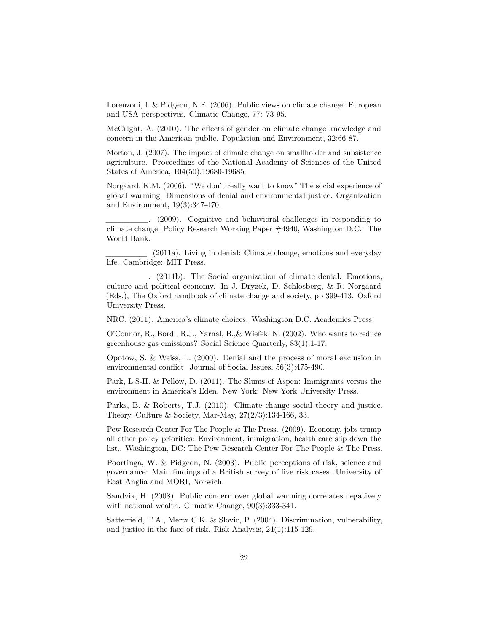Lorenzoni, I. & Pidgeon, N.F. (2006). Public views on climate change: European and USA perspectives. Climatic Change, 77: 73-95.

McCright, A. (2010). The effects of gender on climate change knowledge and concern in the American public. Population and Environment, 32:66-87.

Morton, J. (2007). The impact of climate change on smallholder and subsistence agriculture. Proceedings of the National Academy of Sciences of the United States of America, 104(50):19680-19685

Norgaard, K.M. (2006). "We don't really want to know" The social experience of global warming: Dimensions of denial and environmental justice. Organization and Environment, 19(3):347-470.

\_\_\_\_\_\_\_. (2009). Cognitive and behavioral challenges in responding to climate change. Policy Research Working Paper #4940, Washington D.C.: The World Bank.

\_\_\_\_\_\_\_. (2011a). Living in denial: Climate change, emotions and everyday life. Cambridge: MIT Press.

\_\_\_\_\_\_\_. (2011b). The Social organization of climate denial: Emotions, culture and political economy. In J. Dryzek, D. Schlosberg, & R. Norgaard (Eds.), The Oxford handbook of climate change and society, pp 399-413. Oxford University Press.

NRC. (2011). America's climate choices. Washington D.C. Academies Press.

O'Connor, R., Bord , R.J., Yarnal, B.,& Wiefek, N. (2002). Who wants to reduce greenhouse gas emissions? Social Science Quarterly, 83(1):1-17.

Opotow, S. & Weiss, L. (2000). Denial and the process of moral exclusion in environmental conflict. Journal of Social Issues, 56(3):475-490.

Park, L.S-H. & Pellow, D. (2011). The Slums of Aspen: Immigrants versus the environment in America's Eden. New York: New York University Press.

Parks, B. & Roberts, T.J. (2010). Climate change social theory and justice. Theory, Culture & Society, Mar-May, 27(2/3):134-166, 33.

Pew Research Center For The People & The Press. (2009). Economy, jobs trump all other policy priorities: Environment, immigration, health care slip down the list.. Washington, DC: The Pew Research Center For The People & The Press.

Poortinga, W. & Pidgeon, N. (2003). Public perceptions of risk, science and governance: Main findings of a British survey of five risk cases. University of East Anglia and MORI, Norwich.

Sandvik, H. (2008). Public concern over global warming correlates negatively with national wealth. Climatic Change, 90(3):333-341.

Satterfield, T.A., Mertz C.K. & Slovic, P. (2004). Discrimination, vulnerability, and justice in the face of risk. Risk Analysis, 24(1):115-129.